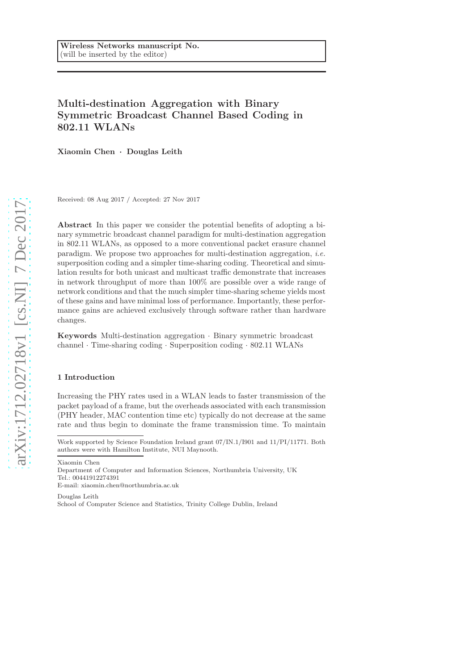# Multi-destination Aggregation with Binary Symmetric Broadcast Channel Based Coding in 802.11 WLANs

Xiaomin Chen · Douglas Leith

Received: 08 Aug 2017 / Accepted: 27 Nov 2017

Abstract In this paper we consider the potential benefits of adopting a binary symmetric broadcast channel paradigm for multi-destination aggregation in 802.11 WLANs, as opposed to a more conventional packet erasure channel paradigm. We propose two approaches for multi-destination aggregation, i.e. superposition coding and a simpler time-sharing coding. Theoretical and simulation results for both unicast and multicast traffic demonstrate that increases in network throughput of more than 100% are possible over a wide range of network conditions and that the much simpler time-sharing scheme yields most of these gains and have minimal loss of performance. Importantly, these performance gains are achieved exclusively through software rather than hardware changes.

Keywords Multi-destination aggregation · Binary symmetric broadcast channel · Time-sharing coding · Superposition coding · 802.11 WLANs

## 1 Introduction

Increasing the PHY rates used in a WLAN leads to faster transmission of the packet payload of a frame, but the overheads associated with each transmission (PHY header, MAC contention time etc) typically do not decrease at the same rate and thus begin to dominate the frame transmission time. To maintain

Xiaomin Chen

Department of Computer and Information Sciences, Northumbria University, UK Tel.: 00441912274391 E-mail: xiaomin.chen@northumbria.ac.uk

Douglas Leith School of Computer Science and Statistics, Trinity College Dublin, Ireland

Work supported by Science Foundation Ireland grant 07/IN.1/I901 and 11/PI/11771. Both authors were with Hamilton Institute, NUI Maynooth.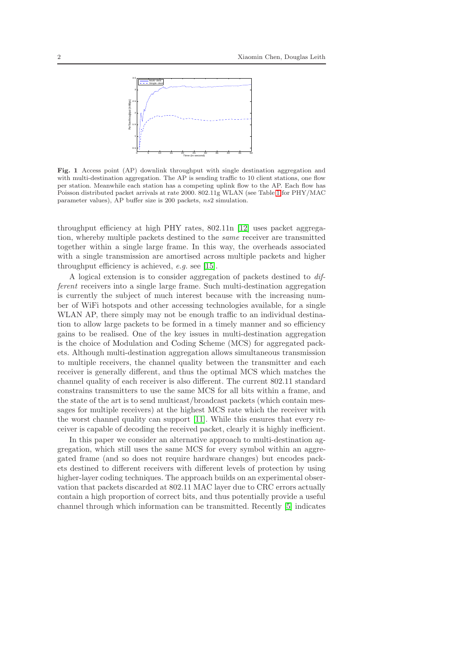

<span id="page-1-0"></span>Fig. 1 Access point (AP) downlink throughput with single destination aggregation and with multi-destination aggregation. The AP is sending traffic to 10 client stations, one flow per station. Meanwhile each station has a competing uplink flow to the AP. Each flow has Poisson distributed packet arrivals at rate 2000. 802.11g WLAN (see Table [1](#page-14-0) for PHY/MAC parameter values), AP buffer size is 200 packets, ns2 simulation.

throughput efficiency at high PHY rates, 802.11n [\[12\]](#page-22-0) uses packet aggregation, whereby multiple packets destined to the same receiver are transmitted together within a single large frame. In this way, the overheads associated with a single transmission are amortised across multiple packets and higher throughput efficiency is achieved, e.g. see [\[15\]](#page-22-1).

A logical extension is to consider aggregation of packets destined to different receivers into a single large frame. Such multi-destination aggregation is currently the subject of much interest because with the increasing number of WiFi hotspots and other accessing technologies available, for a single WLAN AP, there simply may not be enough traffic to an individual destination to allow large packets to be formed in a timely manner and so efficiency gains to be realised. One of the key issues in multi-destination aggregation is the choice of Modulation and Coding Scheme (MCS) for aggregated packets. Although multi-destination aggregation allows simultaneous transmission to multiple receivers, the channel quality between the transmitter and each receiver is generally different, and thus the optimal MCS which matches the channel quality of each receiver is also different. The current 802.11 standard constrains transmitters to use the same MCS for all bits within a frame, and the state of the art is to send multicast/broadcast packets (which contain messages for multiple receivers) at the highest MCS rate which the receiver with the worst channel quality can support [\[11\]](#page-22-2). While this ensures that every receiver is capable of decoding the received packet, clearly it is highly inefficient.

In this paper we consider an alternative approach to multi-destination aggregation, which still uses the same MCS for every symbol within an aggregated frame (and so does not require hardware changes) but encodes packets destined to different receivers with different levels of protection by using higher-layer coding techniques. The approach builds on an experimental observation that packets discarded at 802.11 MAC layer due to CRC errors actually contain a high proportion of correct bits, and thus potentially provide a useful channel through which information can be transmitted. Recently [\[5\]](#page-21-0) indicates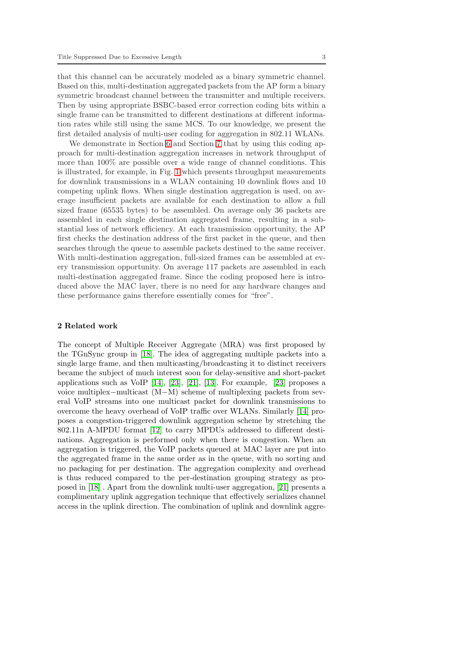that this channel can be accurately modeled as a binary symmetric channel. Based on this, multi-destination aggregated packets from the AP form a binary symmetric broadcast channel between the transmitter and multiple receivers. Then by using appropriate BSBC-based error correction coding bits within a single frame can be transmitted to different destinations at different information rates while still using the same MCS. To our knowledge, we present the first detailed analysis of multi-user coding for aggregation in 802.11 WLANs.

We demonstrate in Section [6](#page-12-0) and Section [7](#page-15-0) that by using this coding approach for multi-destination aggregation increases in network throughput of more than 100% are possible over a wide range of channel conditions. This is illustrated, for example, in Fig. [1](#page-1-0) which presents throughput measurements for downlink transmissions in a WLAN containing 10 downlink flows and 10 competing uplink flows. When single destination aggregation is used, on average insufficient packets are available for each destination to allow a full sized frame (65535 bytes) to be assembled. On average only 36 packets are assembled in each single destination aggregated frame, resulting in a substantial loss of network efficiency. At each transmission opportunity, the AP first checks the destination address of the first packet in the queue, and then searches through the queue to assemble packets destined to the same receiver. With multi-destination aggregation, full-sized frames can be assembled at every transmission opportunity. On average 117 packets are assembled in each multi-destination aggregated frame. Since the coding proposed here is introduced above the MAC layer, there is no need for any hardware changes and these performance gains therefore essentially comes for "free".

## 2 Related work

The concept of Multiple Receiver Aggregate (MRA) was first proposed by the TGnSync group in [\[18\]](#page-22-3). The idea of aggregating multiple packets into a single large frame, and then multicasting/broadcasting it to distinct receivers became the subject of much interest soon for delay-sensitive and short-packet applications such as VoIP [\[14\]](#page-22-4), [\[23\]](#page-22-5), [\[21\]](#page-22-6), [\[13\]](#page-22-7). For example, [\[23\]](#page-22-5) proposes a voice multiplex−multicast (M−M) scheme of multiplexing packets from several VoIP streams into one multicast packet for downlink transmissions to overcome the heavy overhead of VoIP traffic over WLANs. Similarly [\[14\]](#page-22-4) proposes a congestion-triggered downlink aggregation scheme by stretching the 802.11n A-MPDU format [\[12\]](#page-22-0) to carry MPDUs addressed to different destinations. Aggregation is performed only when there is congestion. When an aggregation is triggered, the VoIP packets queued at MAC layer are put into the aggregated frame in the same order as in the queue, with no sorting and no packaging for per destination. The aggregation complexity and overhead is thus reduced compared to the per-destination grouping strategy as proposed in [\[18\]](#page-22-3) . Apart from the downlink multi-user aggregation, [\[21\]](#page-22-6) presents a complimentary uplink aggregation technique that effectively serializes channel access in the uplink direction. The combination of uplink and downlink aggre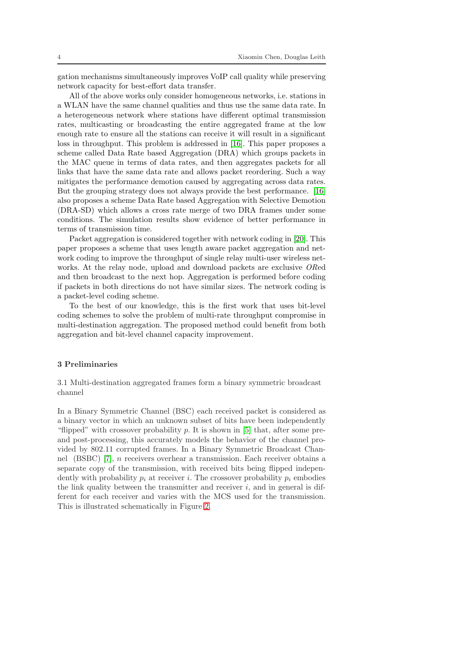gation mechanisms simultaneously improves VoIP call quality while preserving network capacity for best-effort data transfer.

All of the above works only consider homogeneous networks, i.e. stations in a WLAN have the same channel qualities and thus use the same data rate. In a heterogeneous network where stations have different optimal transmission rates, multicasting or broadcasting the entire aggregated frame at the low enough rate to ensure all the stations can receive it will result in a significant loss in throughput. This problem is addressed in [\[16\]](#page-22-8). This paper proposes a scheme called Data Rate based Aggregation (DRA) which groups packets in the MAC queue in terms of data rates, and then aggregates packets for all links that have the same data rate and allows packet reordering. Such a way mitigates the performance demotion caused by aggregating across data rates. But the grouping strategy does not always provide the best performance. [\[16\]](#page-22-8) also proposes a scheme Data Rate based Aggregation with Selective Demotion (DRA-SD) which allows a cross rate merge of two DRA frames under some conditions. The simulation results show evidence of better performance in terms of transmission time.

Packet aggregation is considered together with network coding in [\[20\]](#page-22-9). This paper proposes a scheme that uses length aware packet aggregation and network coding to improve the throughput of single relay multi-user wireless networks. At the relay node, upload and download packets are exclusive ORed and then broadcast to the next hop. Aggregation is performed before coding if packets in both directions do not have similar sizes. The network coding is a packet-level coding scheme.

To the best of our knowledge, this is the first work that uses bit-level coding schemes to solve the problem of multi-rate throughput compromise in multi-destination aggregation. The proposed method could benefit from both aggregation and bit-level channel capacity improvement.

## 3 Preliminaries

3.1 Multi-destination aggregated frames form a binary symmetric broadcast channel

In a Binary Symmetric Channel (BSC) each received packet is considered as a binary vector in which an unknown subset of bits have been independently "flipped" with crossover probability  $p$ . It is shown in [\[5\]](#page-21-0) that, after some preand post-processing, this accurately models the behavior of the channel provided by 802.11 corrupted frames. In a Binary Symmetric Broadcast Channel (BSBC) [\[7\]](#page-22-10), n receivers overhear a transmission. Each receiver obtains a separate copy of the transmission, with received bits being flipped independently with probability  $p_i$  at receiver i. The crossover probability  $p_i$  embodies the link quality between the transmitter and receiver  $i$ , and in general is different for each receiver and varies with the MCS used for the transmission. This is illustrated schematically in Figure [2.](#page-4-0)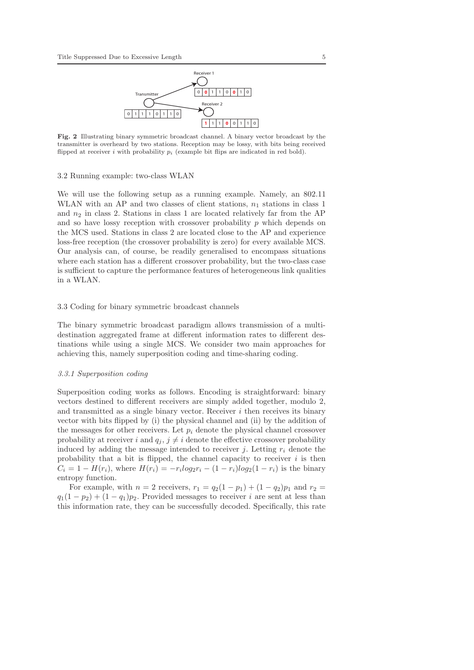

<span id="page-4-0"></span>Fig. 2 Illustrating binary symmetric broadcast channel. A binary vector broadcast by the transmitter is overheard by two stations. Reception may be lossy, with bits being received flipped at receiver i with probability  $p_i$  (example bit flips are indicated in red bold).

#### <span id="page-4-1"></span>3.2 Running example: two-class WLAN

We will use the following setup as a running example. Namely, an 802.11 WLAN with an AP and two classes of client stations,  $n_1$  stations in class 1 and  $n_2$  in class 2. Stations in class 1 are located relatively far from the AP and so have lossy reception with crossover probability  $p$  which depends on the MCS used. Stations in class 2 are located close to the AP and experience loss-free reception (the crossover probability is zero) for every available MCS. Our analysis can, of course, be readily generalised to encompass situations where each station has a different crossover probability, but the two-class case is sufficient to capture the performance features of heterogeneous link qualities in a WLAN.

#### 3.3 Coding for binary symmetric broadcast channels

The binary symmetric broadcast paradigm allows transmission of a multidestination aggregated frame at different information rates to different destinations while using a single MCS. We consider two main approaches for achieving this, namely superposition coding and time-sharing coding.

#### 3.3.1 Superposition coding

Superposition coding works as follows. Encoding is straightforward: binary vectors destined to different receivers are simply added together, modulo 2, and transmitted as a single binary vector. Receiver  $i$  then receives its binary vector with bits flipped by (i) the physical channel and (ii) by the addition of the messages for other receivers. Let  $p_i$  denote the physical channel crossover probability at receiver i and  $q_i$ ,  $j \neq i$  denote the effective crossover probability induced by adding the message intended to receiver j. Letting  $r_i$  denote the probability that a bit is flipped, the channel capacity to receiver  $i$  is then  $C_i = 1 - H(r_i)$ , where  $H(r_i) = -r_i log_2 r_i - (1 - r_i) log_2 (1 - r_i)$  is the binary entropy function.

For example, with  $n = 2$  receivers,  $r_1 = q_2(1 - p_1) + (1 - q_2)p_1$  and  $r_2 =$  $q_1(1 - p_2) + (1 - q_1)p_2$ . Provided messages to receiver i are sent at less than this information rate, they can be successfully decoded. Specifically, this rate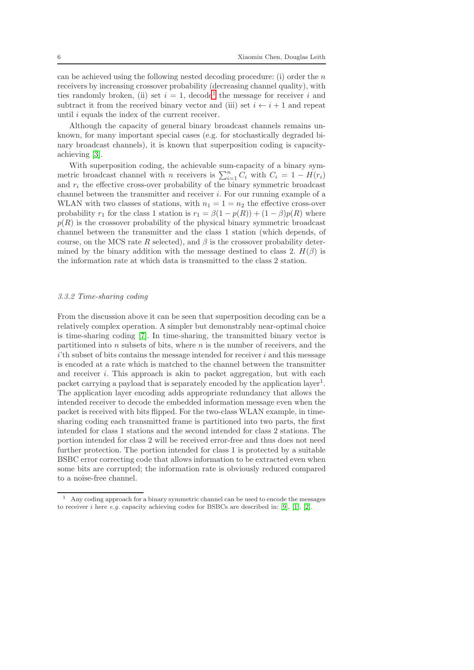can be achieved using the following nested decoding procedure: (i) order the  $n$ receivers by increasing crossover probability (decreasing channel quality), with ties randomly broken, (ii) set  $i = 1$  $i = 1$ , decode<sup>1</sup> the message for receiver i and subtract it from the received binary vector and (iii) set  $i \leftarrow i + 1$  and repeat until i equals the index of the current receiver.

Although the capacity of general binary broadcast channels remains unknown, for many important special cases (e.g. for stochastically degraded binary broadcast channels), it is known that superposition coding is capacityachieving [\[3\]](#page-21-1).

With superposition coding, the achievable sum-capacity of a binary symmetric broadcast channel with n receivers is  $\sum_{i=1}^{n} C_i$  with  $C_i = 1 - H(r_i)$ and  $r_i$  the effective cross-over probability of the binary symmetric broadcast channel between the transmitter and receiver  $i$ . For our running example of a WLAN with two classes of stations, with  $n_1 = 1 = n_2$  the effective cross-over probability  $r_1$  for the class 1 station is  $r_1 = \beta(1 - p(R)) + (1 - \beta)p(R)$  where  $p(R)$  is the crossover probability of the physical binary symmetric broadcast channel between the transmitter and the class 1 station (which depends, of course, on the MCS rate R selected), and  $\beta$  is the crossover probability determined by the binary addition with the message destined to class 2.  $H(\beta)$  is the information rate at which data is transmitted to the class 2 station.

#### 3.3.2 Time-sharing coding

From the discussion above it can be seen that superposition decoding can be a relatively complex operation. A simpler but demonstrably near-optimal choice is time-sharing coding [\[7\]](#page-22-10). In time-sharing, the transmitted binary vector is partitioned into  $n$  subsets of bits, where  $n$  is the number of receivers, and the  $i$ <sup>th</sup> subset of bits contains the message intended for receiver  $i$  and this message is encoded at a rate which is matched to the channel between the transmitter and receiver  $i$ . This approach is akin to packet aggregation, but with each packet carrying a payload that is separately encoded by the application layer<sup>1</sup>. The application layer encoding adds appropriate redundancy that allows the intended receiver to decode the embedded information message even when the packet is received with bits flipped. For the two-class WLAN example, in timesharing coding each transmitted frame is partitioned into two parts, the first intended for class 1 stations and the second intended for class 2 stations. The portion intended for class 2 will be received error-free and thus does not need further protection. The portion intended for class 1 is protected by a suitable BSBC error correcting code that allows information to be extracted even when some bits are corrupted; the information rate is obviously reduced compared to a noise-free channel.

<span id="page-5-0"></span><sup>1</sup> Any coding approach for a binary symmetric channel can be used to encode the messages to receiver *i* here *e.g.* capacity achieving codes for BSBCs are described in: [\[9\]](#page-22-11), [\[1\]](#page-21-2), [\[2\]](#page-21-3).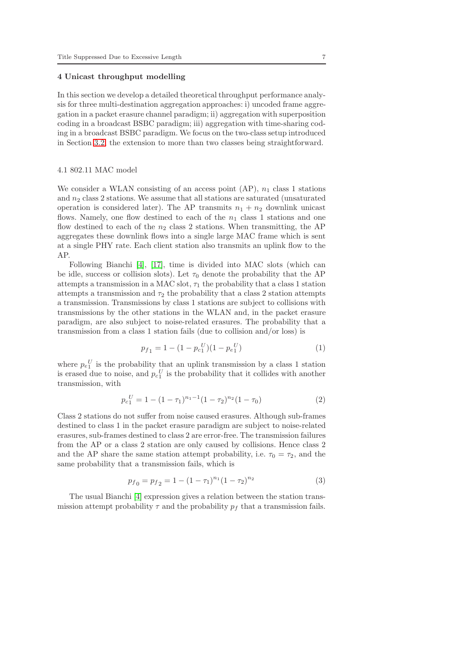#### <span id="page-6-0"></span>4 Unicast throughput modelling

In this section we develop a detailed theoretical throughput performance analysis for three multi-destination aggregation approaches: i) uncoded frame aggregation in a packet erasure channel paradigm; ii) aggregation with superposition coding in a broadcast BSBC paradigm; iii) aggregation with time-sharing coding in a broadcast BSBC paradigm. We focus on the two-class setup introduced in Section [3.2,](#page-4-1) the extension to more than two classes being straightforward.

# 4.1 802.11 MAC model

We consider a WLAN consisting of an access point  $(AP)$ ,  $n_1$  class 1 stations and  $n_2$  class 2 stations. We assume that all stations are saturated (unsaturated operation is considered later). The AP transmits  $n_1 + n_2$  downlink unicast flows. Namely, one flow destined to each of the  $n_1$  class 1 stations and one flow destined to each of the  $n_2$  class 2 stations. When transmitting, the AP aggregates these downlink flows into a single large MAC frame which is sent at a single PHY rate. Each client station also transmits an uplink flow to the AP.

Following Bianchi [\[4\]](#page-21-4), [\[17\]](#page-22-12), time is divided into MAC slots (which can be idle, success or collision slots). Let  $\tau_0$  denote the probability that the AP attempts a transmission in a MAC slot,  $\tau_1$  the probability that a class 1 station attempts a transmission and  $\tau_2$  the probability that a class 2 station attempts a transmission. Transmissions by class 1 stations are subject to collisions with transmissions by the other stations in the WLAN and, in the packet erasure paradigm, are also subject to noise-related erasures. The probability that a transmission from a class 1 station fails (due to collision and/or loss) is

$$
p_{f_1} = 1 - (1 - p_{c_1}^U)(1 - p_{e_1}^U) \tag{1}
$$

where  $p_e^U$  is the probability that an uplink transmission by a class 1 station is erased due to noise, and  $p_c^U$  is the probability that it collides with another transmission, with

$$
p_c{}^U_1 = 1 - (1 - \tau_1)^{n_1 - 1} (1 - \tau_2)^{n_2} (1 - \tau_0)
$$
\n<sup>(2)</sup>

Class 2 stations do not suffer from noise caused erasures. Although sub-frames destined to class 1 in the packet erasure paradigm are subject to noise-related erasures, sub-frames destined to class 2 are error-free. The transmission failures from the AP or a class 2 station are only caused by collisions. Hence class 2 and the AP share the same station attempt probability, i.e.  $\tau_0 = \tau_2$ , and the same probability that a transmission fails, which is

$$
p_{f_0} = p_{f_2} = 1 - (1 - \tau_1)^{n_1} (1 - \tau_2)^{n_2}
$$
\n(3)

The usual Bianchi [\[4\]](#page-21-4) expression gives a relation between the station transmission attempt probability  $\tau$  and the probability  $p_f$  that a transmission fails.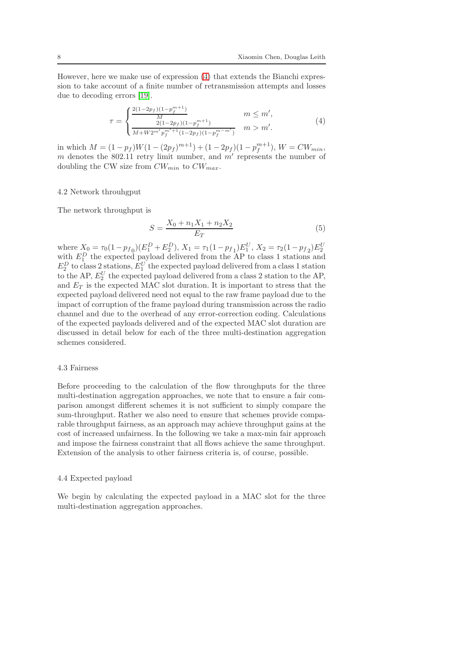However, here we make use of expression [\(4\)](#page-7-0) that extends the Bianchi expression to take account of a finite number of retransmission attempts and losses due to decoding errors [\[19\]](#page-22-13).

<span id="page-7-0"></span>
$$
\tau = \begin{cases} \frac{2(1-2p_f)(1-p_f^{m+1})}{M} & m \leq m',\\ \frac{2(1-2p_f)(1-p_f^{m+1})}{M+W2^{m'}p_f^{m'+1}(1-2p_f)(1-p_f^{m-m'})} & m > m'. \end{cases} (4)
$$

in which  $M = (1 - p_f)W(1 - (2p_f)^{m+1}) + (1 - 2p_f)(1 - p_f^{m+1}), W = CW_{min},$  $m$  denotes the 802.11 retry limit number, and  $m'$  represents the number of doubling the CW size from  $CW_{min}$  to  $CW_{max}$ .

## 4.2 Network throuhgput

The network throughput is

$$
S = \frac{X_0 + n_1 X_1 + n_2 X_2}{E_T} \tag{5}
$$

where  $X_0 = \tau_0 (1 - p_{f_0}) (E_1^D + E_2^D)$ ,  $X_1 = \tau_1 (1 - p_{f_1}) E_1^U$ ,  $X_2 = \tau_2 (1 - p_{f_2}) E_2^U$ <br>with  $E_1^D$  the expected payload delivered from the AP to class 1 stations and  $E_2^D$  to class 2 stations,  $E_1^U$  the expected payload delivered from a class 1 station to the AP,  $E_2^U$  the expected payload delivered from a class 2 station to the AP, and  $E_T$  is the expected MAC slot duration. It is important to stress that the expected payload delivered need not equal to the raw frame payload due to the impact of corruption of the frame payload during transmission across the radio channel and due to the overhead of any error-correction coding. Calculations of the expected payloads delivered and of the expected MAC slot duration are discussed in detail below for each of the three multi-destination aggregation schemes considered.

#### 4.3 Fairness

Before proceeding to the calculation of the flow throughputs for the three multi-destination aggregation approaches, we note that to ensure a fair comparison amongst different schemes it is not sufficient to simply compare the sum-throughput. Rather we also need to ensure that schemes provide comparable throughput fairness, as an approach may achieve throughput gains at the cost of increased unfairness. In the following we take a max-min fair approach and impose the fairness constraint that all flows achieve the same throughput. Extension of the analysis to other fairness criteria is, of course, possible.

#### 4.4 Expected payload

We begin by calculating the expected payload in a MAC slot for the three multi-destination aggregation approaches.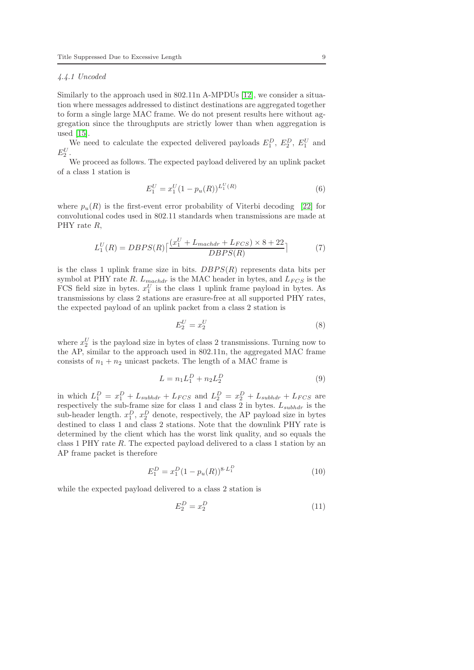## 4.4.1 Uncoded

Similarly to the approach used in 802.11n A-MPDUs [\[12\]](#page-22-0), we consider a situation where messages addressed to distinct destinations are aggregated together to form a single large MAC frame. We do not present results here without aggregation since the throughputs are strictly lower than when aggregation is used [\[15\]](#page-22-1).

We need to calculate the expected delivered payloads  $E_1^D$ ,  $E_2^D$ ,  $E_1^U$  and  $E_2^U$ .

We proceed as follows. The expected payload delivered by an uplink packet of a class 1 station is

<span id="page-8-3"></span>
$$
E_1^U = x_1^U (1 - p_u(R))^{L_1^U(R)} \tag{6}
$$

where  $p_u(R)$  is the first-event error probability of Viterbi decoding [\[22\]](#page-22-14) for convolutional codes used in 802.11 standards when transmissions are made at PHY rate R,

$$
L_1^U(R) = DBPS(R) \left[ \frac{(x_1^U + L_{machdr} + L_{FCS}) \times 8 + 22}{DBPS(R)} \right] \tag{7}
$$

is the class 1 uplink frame size in bits.  $DBPS(R)$  represents data bits per symbol at PHY rate R.  $L_{machdr}$  is the MAC header in bytes, and  $L_{FCS}$  is the FCS field size in bytes.  $x_1^U$  is the class 1 uplink frame payload in bytes. As transmissions by class 2 stations are erasure-free at all supported PHY rates, the expected payload of an uplink packet from a class 2 station is

<span id="page-8-4"></span>
$$
E_2^U = x_2^U \tag{8}
$$

where  $x_2^U$  is the payload size in bytes of class 2 transmissions. Turning now to the AP, similar to the approach used in 802.11n, the aggregated MAC frame consists of  $n_1 + n_2$  unicast packets. The length of a MAC frame is

<span id="page-8-0"></span>
$$
L = n_1 L_1^D + n_2 L_2^D \tag{9}
$$

in which  $L_1^D = x_1^D + L_{subhar} + L_{FCS}$  and  $L_2^D = x_2^D + L_{subhar} + L_{FCS}$  are respectively the sub-frame size for class 1 and class 2 in bytes.  $L_{subhdr}$  is the sub-header length.  $x_1^D$ ,  $x_2^D$  denote, respectively, the AP payload size in bytes destined to class 1 and class 2 stations. Note that the downlink PHY rate is determined by the client which has the worst link quality, and so equals the class 1 PHY rate R. The expected payload delivered to a class 1 station by an AP frame packet is therefore

<span id="page-8-1"></span>
$$
E_1^D = x_1^D (1 - p_u(R))^{8 \cdot L_1^D} \tag{10}
$$

while the expected payload delivered to a class 2 station is

<span id="page-8-2"></span>
$$
E_2^D = x_2^D \tag{11}
$$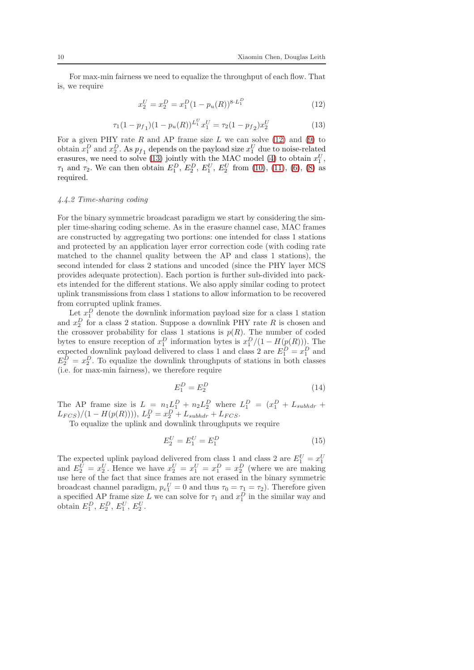For max-min fairness we need to equalize the throughput of each flow. That is, we require

<span id="page-9-0"></span>
$$
x_2^U = x_2^D = x_1^D (1 - p_u(R))^{8 \cdot L_1^D}
$$
\n(12)

<span id="page-9-1"></span>
$$
\tau_1(1 - p_{f_1})(1 - p_u(R))^{L_1^U} x_1^U = \tau_2(1 - p_{f_2}) x_2^U \tag{13}
$$

For a given PHY rate  $R$  and AP frame size  $L$  we can solve [\(12\)](#page-9-0) and [\(9\)](#page-8-0) to obtain  $x_1^D$  and  $x_2^D$ . As  $p_{f_1}$  depends on the payload size  $x_1^U$  due to noise-related erasures, we need to solve [\(13\)](#page-9-1) jointly with the MAC model [\(4\)](#page-7-0) to obtain  $x_1^U$ ,  $\tau_1$  and  $\tau_2$ . We can then obtain  $E_1^D$ ,  $E_2^D$ ,  $E_1^U$ ,  $E_2^U$  from [\(10\)](#page-8-1), [\(11\)](#page-8-2), [\(6\)](#page-8-3), [\(8\)](#page-8-4) as required.

## 4.4.2 Time-sharing coding

For the binary symmetric broadcast paradigm we start by considering the simpler time-sharing coding scheme. As in the erasure channel case, MAC frames are constructed by aggregating two portions: one intended for class 1 stations and protected by an application layer error correction code (with coding rate matched to the channel quality between the AP and class 1 stations), the second intended for class 2 stations and uncoded (since the PHY layer MCS provides adequate protection). Each portion is further sub-divided into packets intended for the different stations. We also apply similar coding to protect uplink transmissions from class 1 stations to allow information to be recovered from corrupted uplink frames.

Let  $x_1^D$  denote the downlink information payload size for a class 1 station and  $x_2^D$  for a class 2 station. Suppose a downlink PHY rate R is chosen and the crossover probability for class 1 stations is  $p(R)$ . The number of coded bytes to ensure reception of  $x_1^D$  information bytes is  $x_1^D/(1-H(p(R)))$ . The expected downlink payload delivered to class 1 and class 2 are  $E_1^D = x_1^D$  and  $E_2^D = x_2^D$ . To equalize the downlink throughputs of stations in both classes (i.e. for max-min fairness), we therefore require

$$
E_1^D = E_2^D \tag{14}
$$

The AP frame size is  $L = n_1 L_1^D + n_2 L_2^D$  where  $L_1^D = (x_1^D + L_{subhdr} +$  $L_{FCS}/(1-H(p(R))))$ ,  $L_2^D = x_2^D + L_{subhdr} + L_{FCS}$ .

To equalize the uplink and downlink throughputs we require

$$
E_2^U = E_1^U = E_1^D \tag{15}
$$

The expected uplink payload delivered from class 1 and class 2 are  $E_1^U = x_1^U$  and  $E_2^U = x_2^U$ . Hence we have  $x_2^U = x_1^U = x_1^D = x_2^D$  (where we are making use here of the fact that since frames are not erased in the binary symmetric broadcast channel paradigm,  $p_e^U = 0$  and thus  $\tau_0 = \tau_1 = \tau_2$ ). Therefore given a specified AP frame size L we can solve for  $\tau_1$  and  $x_1^D$  in the similar way and obtain  $E_1^D, E_2^D, E_1^U, E_2^U$ .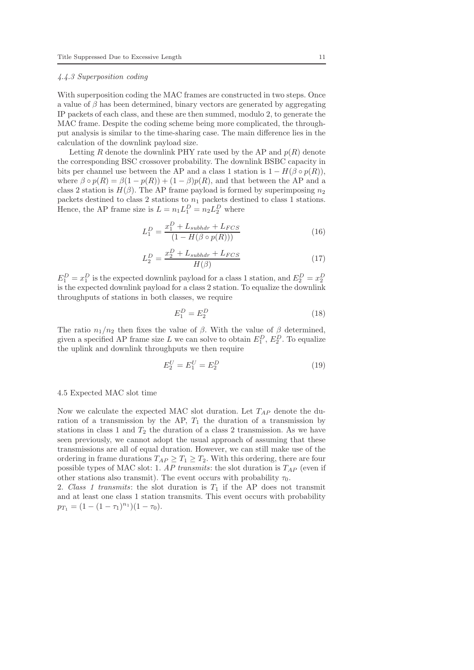## 4.4.3 Superposition coding

With superposition coding the MAC frames are constructed in two steps. Once a value of  $\beta$  has been determined, binary vectors are generated by aggregating IP packets of each class, and these are then summed, modulo 2, to generate the MAC frame. Despite the coding scheme being more complicated, the throughput analysis is similar to the time-sharing case. The main difference lies in the calculation of the downlink payload size.

Letting R denote the downlink PHY rate used by the AP and  $p(R)$  denote the corresponding BSC crossover probability. The downlink BSBC capacity in bits per channel use between the AP and a class 1 station is  $1 - H(\beta \circ p(R))$ . where  $\beta \circ p(R) = \beta(1 - p(R)) + (1 - \beta)p(R)$ , and that between the AP and a class 2 station is  $H(\beta)$ . The AP frame payload is formed by superimposing  $n_2$ packets destined to class 2 stations to  $n_1$  packets destined to class 1 stations. Hence, the AP frame size is  $L = n_1 L_1^D = n_2 L_2^D$  where

$$
L_1^D = \frac{x_1^D + L_{subhdr} + L_{FCS}}{(1 - H(\beta \circ p(R)))}
$$
(16)

$$
L_2^D = \frac{x_2^D + L_{subhdr} + L_{FCS}}{H(\beta)}
$$
\n<sup>(17)</sup>

 $E_1^D = x_1^D$  is the expected downlink payload for a class 1 station, and  $E_2^D = x_2^D$ is the expected downlink payload for a class 2 station. To equalize the downlink throughputs of stations in both classes, we require

$$
E_1^D = E_2^D \tag{18}
$$

The ratio  $n_1/n_2$  then fixes the value of  $\beta$ . With the value of  $\beta$  determined, given a specified AP frame size L we can solve to obtain  $E_1^D$ ,  $E_2^D$ . To equalize the uplink and downlink throughputs we then require

$$
E_2^U = E_1^U = E_2^D \tag{19}
$$

## 4.5 Expected MAC slot time

Now we calculate the expected MAC slot duration. Let  $T_{AP}$  denote the duration of a transmission by the AP,  $T_1$  the duration of a transmission by stations in class 1 and  $T_2$  the duration of a class 2 transmission. As we have seen previously, we cannot adopt the usual approach of assuming that these transmissions are all of equal duration. However, we can still make use of the ordering in frame durations  $T_{AP} \geq T_1 \geq T_2$ . With this ordering, there are four possible types of MAC slot: 1. AP transmits: the slot duration is  $T_{AP}$  (even if other stations also transmit). The event occurs with probability  $\tau_0$ .

2. Class 1 transmits: the slot duration is  $T_1$  if the AP does not transmit and at least one class 1 station transmits. This event occurs with probability  $p_{T_1} = (1 - (1 - \tau_1)^{n_1})(1 - \tau_0).$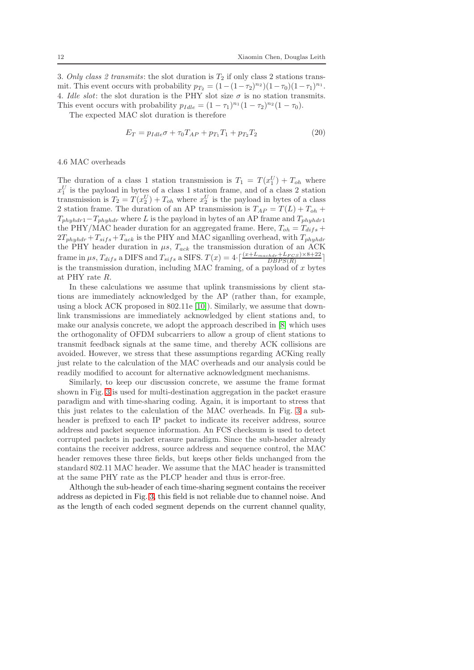3. Only class 2 transmits: the slot duration is  $T_2$  if only class 2 stations transmit. This event occurs with probability  $p_{T_2} = (1 - (1 - \tau_2)^{n_2})(1 - \tau_0)(1 - \tau_1)^{n_1}$ . 4. Idle slot: the slot duration is the PHY slot size  $\sigma$  is no station transmits. This event occurs with probability  $p_{Idle} = (1 - \tau_1)^{n_1} (1 - \tau_2)^{n_2} (1 - \tau_0)$ .

The expected MAC slot duration is therefore

$$
E_T = p_{I dle} \sigma + \tau_0 T_{AP} + p_{T_1} T_1 + p_{T_2} T_2 \tag{20}
$$

## 4.6 MAC overheads

The duration of a class 1 station transmission is  $T_1 = T(x_1^U) + T_{oh}$  where  $x_1^U$  is the payload in bytes of a class 1 station frame, and of a class 2 station transmission is  $T_2 = T(x_2^U) + T_{oh}$  where  $x_2^U$  is the payload in bytes of a class 2 station frame. The duration of an AP transmission is  $T_{AP} = T(L) + T_{oh} + T_{oh}$  $T_{phyhdr1}-T_{phyhdr}$  where L is the payload in bytes of an AP frame and  $T_{phyhdr1}$ the PHY/MAC header duration for an aggregated frame. Here,  $T_{oh} = T_{difs} +$  $2T_{phyhdr} + T_{sifs} + T_{ack}$  is the PHY and MAC siganlling overhead, with  $T_{phyhdr}$ the PHY header duration in  $\mu s$ ,  $T_{ack}$  the transmission duration of an ACK frame in  $\mu s$ ,  $T_{difs}$  a DIFS and  $T_{sifs}$  a SIFS.  $T(x) = 4 \cdot \left\lceil \frac{(x + L_{machdr} + L_{FCS}) \times 8 + 22}{DBPS(R)} \right\rceil$ is the transmission duration, including MAC framing, of a payload of  $x$  bytes at PHY rate R.

In these calculations we assume that uplink transmissions by client stations are immediately acknowledged by the AP (rather than, for example, using a block ACK proposed in 802.11e [\[10\]](#page-22-15)). Similarly, we assume that downlink transmissions are immediately acknowledged by client stations and, to make our analysis concrete, we adopt the approach described in [\[8\]](#page-22-16) which uses the orthogonality of OFDM subcarriers to allow a group of client stations to transmit feedback signals at the same time, and thereby ACK collisions are avoided. However, we stress that these assumptions regarding ACKing really just relate to the calculation of the MAC overheads and our analysis could be readily modified to account for alternative acknowledgment mechanisms.

Similarly, to keep our discussion concrete, we assume the frame format shown in Fig. [3](#page-12-1) is used for multi-destination aggregation in the packet erasure paradigm and with time-sharing coding. Again, it is important to stress that this just relates to the calculation of the MAC overheads. In Fig. [3](#page-12-1) a subheader is prefixed to each IP packet to indicate its receiver address, source address and packet sequence information. An FCS checksum is used to detect corrupted packets in packet erasure paradigm. Since the sub-header already contains the receiver address, source address and sequence control, the MAC header removes these three fields, but keeps other fields unchanged from the standard 802.11 MAC header. We assume that the MAC header is transmitted at the same PHY rate as the PLCP header and thus is error-free.

Although the sub-header of each time-sharing segment contains the receiver address as depicted in Fig. [3,](#page-12-1) this field is not reliable due to channel noise. And as the length of each coded segment depends on the current channel quality,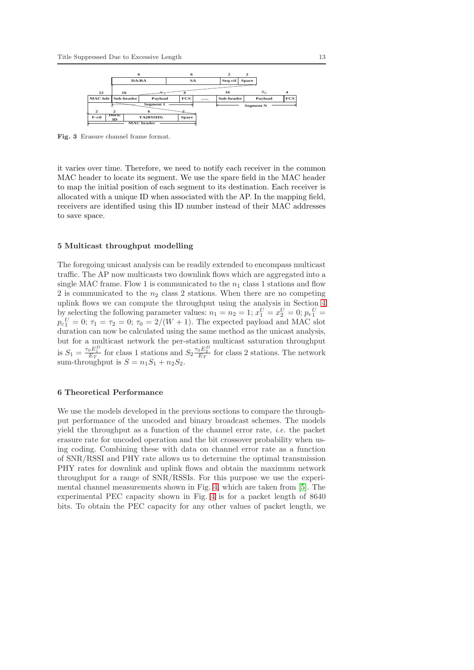

<span id="page-12-1"></span>Fig. 3 Erasure channel frame format.

it varies over time. Therefore, we need to notify each receiver in the common MAC header to locate its segment. We use the spare field in the MAC header to map the initial position of each segment to its destination. Each receiver is allocated with a unique ID when associated with the AP. In the mapping field, receivers are identified using this ID number instead of their MAC addresses to save space.

#### <span id="page-12-2"></span>5 Multicast throughput modelling

The foregoing unicast analysis can be readily extended to encompass multicast traffic. The AP now multicasts two downlink flows which are aggregated into a single MAC frame. Flow 1 is communicated to the  $n_1$  class 1 stations and flow 2 is communicated to the  $n_2$  class 2 stations. When there are no competing uplink flows we can compute the throughput using the analysis in Section [4](#page-6-0) by selecting the following parameter values:  $n_1 = n_2 = 1$ ;  $x_1^U = x_2^U = 0$ ;  $p_{e_1}^U =$  $p_c{}_1^U = 0; \tau_1 = \tau_2 = 0; \tau_0 = 2/(W + 1).$  The expected payload and MAC slot duration can now be calculated using the same method as the unicast analysis, but for a multicast network the per-station multicast saturation throughput is  $S_1 = \frac{\tau_0 E_1^D}{E_T}$  for class 1 stations and  $S_2 \frac{\tau_0 E_2^D}{E_T}$  for class 2 stations. The network sum-throughput is  $S = n_1S_1 + n_2S_2$ .

#### <span id="page-12-0"></span>6 Theoretical Performance

We use the models developed in the previous sections to compare the throughput performance of the uncoded and binary broadcast schemes. The models yield the throughput as a function of the channel error rate, i.e. the packet erasure rate for uncoded operation and the bit crossover probability when using coding. Combining these with data on channel error rate as a function of SNR/RSSI and PHY rate allows us to determine the optimal transmission PHY rates for downlink and uplink flows and obtain the maximum network throughput for a range of SNR/RSSIs. For this purpose we use the experimental channel measurements shown in Fig. [4,](#page-13-0) which are taken from [\[5\]](#page-21-0). The experimental PEC capacity shown in Fig. [4](#page-13-0) is for a packet length of 8640 bits. To obtain the PEC capacity for any other values of packet length, we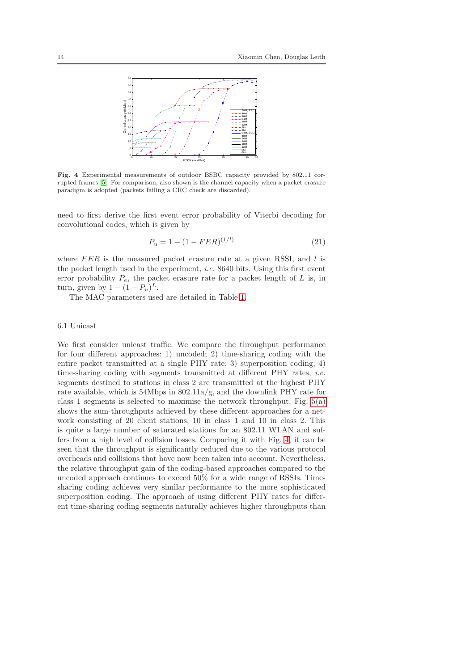

<span id="page-13-0"></span>Fig. 4 Experimental measurements of outdoor BSBC capacity provided by 802.11 corrupted frames [\[5\]](#page-21-0). For comparison, also shown is the channel capacity when a packet erasure paradigm is adopted (packets failing a CRC check are discarded).

need to first derive the first event error probability of Viterbi decoding for convolutional codes, which is given by

$$
P_u = 1 - (1 - FER)^{(1/l)} \tag{21}
$$

where  $FER$  is the measured packet erasure rate at a given RSSI, and  $l$  is the packet length used in the experiment, i.e. 8640 bits. Using this first event error probability  $P_e$ , the packet erasure rate for a packet length of  $L$  is, in turn, given by  $1 - (1 - P_u)^L$ .

The MAC parameters used are detailed in Table [1.](#page-14-0)

# 6.1 Unicast

We first consider unicast traffic. We compare the throughput performance for four different approaches: 1) uncoded; 2) time-sharing coding with the entire packet transmitted at a single PHY rate; 3) superposition coding; 4) time-sharing coding with segments transmitted at different PHY rates, i.e. segments destined to stations in class 2 are transmitted at the highest PHY rate available, which is  $54Mbps$  in  $802.11a/g$ , and the downlink PHY rate for class 1 segments is selected to maximise the network throughput. Fig.  $5(a)$ shows the sum-throughputs achieved by these different approaches for a network consisting of 20 client stations, 10 in class 1 and 10 in class 2. This is quite a large number of saturated stations for an 802.11 WLAN and suffers from a high level of collision losses. Comparing it with Fig. [4,](#page-13-0) it can be seen that the throughput is significantly reduced due to the various protocol overheads and collisions that have now been taken into account. Nevertheless, the relative throughput gain of the coding-based approaches compared to the uncoded approach continues to exceed 50% for a wide range of RSSIs. Timesharing coding achieves very similar performance to the more sophisticated superposition coding. The approach of using different PHY rates for different time-sharing coding segments naturally achieves higher throughputs than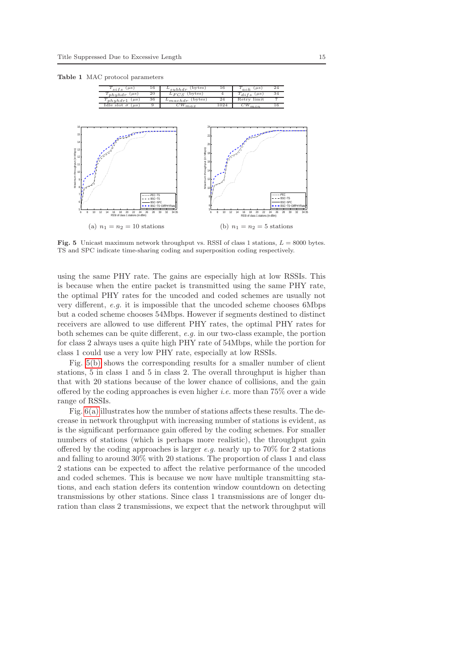6 8 10 12 14 16 18 20 22 24 26 28 30 32 34 35

PEC−TS BSC−TS BSC−SPC BSC−TS−DiffPHYRate

RSSI of class 1 stations (in dBm)

Maximum throughput (in Mbps)

Table 1 MAC protocol parameters

<span id="page-14-1"></span><span id="page-14-0"></span>

(a)  $n_1 = n_2 = 10$  stations (b)  $n_1 = n_2 = 5$  stations

<span id="page-14-2"></span>6 8 10 12 14 16 18 20 22 24 26 28 30 32 34 35

PEC BSC−TS BSC−SPC BSC−TS−DiffPHYRate

RSSI of class 1 stations (in dBm)

Fig. 5 Unicast maximum network throughput vs. RSSI of class 1 stations,  $L = 8000$  bytes. TS and SPC indicate time-sharing coding and superposition coding respectively.

using the same PHY rate. The gains are especially high at low RSSIs. This is because when the entire packet is transmitted using the same PHY rate, the optimal PHY rates for the uncoded and coded schemes are usually not very different, e.g. it is impossible that the uncoded scheme chooses 6Mbps but a coded scheme chooses 54Mbps. However if segments destined to distinct receivers are allowed to use different PHY rates, the optimal PHY rates for both schemes can be quite different, e.g. in our two-class example, the portion for class 2 always uses a quite high PHY rate of 54Mbps, while the portion for class 1 could use a very low PHY rate, especially at low RSSIs.

Fig. [5\(b\)](#page-14-2) shows the corresponding results for a smaller number of client stations, 5 in class 1 and 5 in class 2. The overall throughput is higher than that with 20 stations because of the lower chance of collisions, and the gain offered by the coding approaches is even higher *i.e.* more than  $75\%$  over a wide range of RSSIs.

Fig. [6\(a\)](#page-15-1) illustrates how the number of stations affects these results. The decrease in network throughput with increasing number of stations is evident, as is the significant performance gain offered by the coding schemes. For smaller numbers of stations (which is perhaps more realistic), the throughput gain offered by the coding approaches is larger e.g. nearly up to  $70\%$  for 2 stations and falling to around 30% with 20 stations. The proportion of class 1 and class 2 stations can be expected to affect the relative performance of the uncoded and coded schemes. This is because we now have multiple transmitting stations, and each station defers its contention window countdown on detecting transmissions by other stations. Since class 1 transmissions are of longer duration than class 2 transmissions, we expect that the network throughput will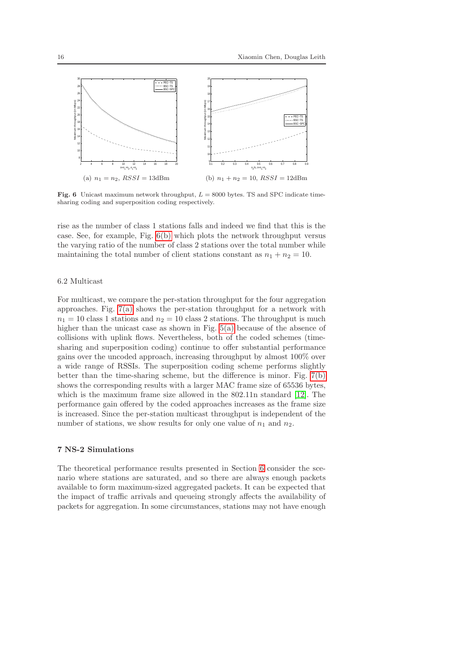<span id="page-15-1"></span>

<span id="page-15-2"></span>Fig. 6 Unicast maximum network throughput,  $L = 8000$  bytes. TS and SPC indicate timesharing coding and superposition coding respectively.

rise as the number of class 1 stations falls and indeed we find that this is the case. See, for example, Fig. [6\(b\)](#page-15-2) which plots the network throughput versus the varying ratio of the number of class 2 stations over the total number while maintaining the total number of client stations constant as  $n_1 + n_2 = 10$ .

## 6.2 Multicast

For multicast, we compare the per-station throughput for the four aggregation approaches. Fig. [7\(a\)](#page-16-0) shows the per-station throughput for a network with  $n_1 = 10$  class 1 stations and  $n_2 = 10$  class 2 stations. The throughput is much higher than the unicast case as shown in Fig.  $5(a)$  because of the absence of collisions with uplink flows. Nevertheless, both of the coded schemes (timesharing and superposition coding) continue to offer substantial performance gains over the uncoded approach, increasing throughput by almost 100% over a wide range of RSSIs. The superposition coding scheme performs slightly better than the time-sharing scheme, but the difference is minor. Fig. [7\(b\)](#page-16-1) shows the corresponding results with a larger MAC frame size of 65536 bytes, which is the maximum frame size allowed in the 802.11n standard [\[12\]](#page-22-0). The performance gain offered by the coded approaches increases as the frame size is increased. Since the per-station multicast throughput is independent of the number of stations, we show results for only one value of  $n_1$  and  $n_2$ .

# <span id="page-15-0"></span>7 NS-2 Simulations

The theoretical performance results presented in Section [6](#page-12-0) consider the scenario where stations are saturated, and so there are always enough packets available to form maximum-sized aggregated packets. It can be expected that the impact of traffic arrivals and queueing strongly affects the availability of packets for aggregation. In some circumstances, stations may not have enough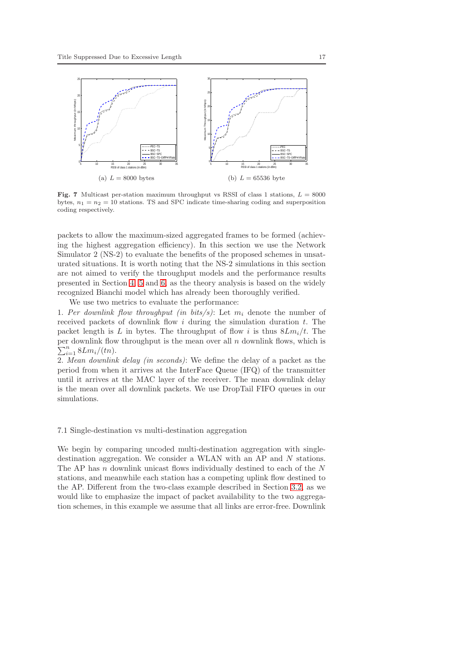<span id="page-16-0"></span>

<span id="page-16-1"></span>Fig. 7 Multicast per-station maximum throughput vs RSSI of class 1 stations,  $L = 8000$ bytes,  $n_1 = n_2 = 10$  stations. TS and SPC indicate time-sharing coding and superposition coding respectively.

packets to allow the maximum-sized aggregated frames to be formed (achieving the highest aggregation efficiency). In this section we use the Network Simulator 2 (NS-2) to evaluate the benefits of the proposed schemes in unsaturated situations. It is worth noting that the NS-2 simulations in this section are not aimed to verify the throughput models and the performance results presented in Section [4,](#page-6-0) [5](#page-12-2) and [6,](#page-12-0) as the theory analysis is based on the widely recognized Bianchi model which has already been thoroughly verified.

We use two metrics to evaluate the performance:

1. Per downlink flow throughput (in bits/s): Let  $m_i$  denote the number of received packets of downlink flow  $i$  during the simulation duration  $t$ . The packet length is L in bytes. The throughput of flow i is thus  $8Lm_i/t$ . The  $\sum_{i=1}^n \frac{8Lm_i}{(tn)}$ . per downlink flow throughput is the mean over all  $n$  downlink flows, which is

2. Mean downlink delay (in seconds): We define the delay of a packet as the period from when it arrives at the InterFace Queue (IFQ) of the transmitter until it arrives at the MAC layer of the receiver. The mean downlink delay is the mean over all downlink packets. We use DropTail FIFO queues in our simulations.

## 7.1 Single-destination vs multi-destination aggregation

We begin by comparing uncoded multi-destination aggregation with singledestination aggregation. We consider a WLAN with an AP and N stations. The AP has n downlink unicast flows individually destined to each of the  $N$ stations, and meanwhile each station has a competing uplink flow destined to the AP. Different from the two-class example described in Section [3.2,](#page-4-1) as we would like to emphasize the impact of packet availability to the two aggregation schemes, in this example we assume that all links are error-free. Downlink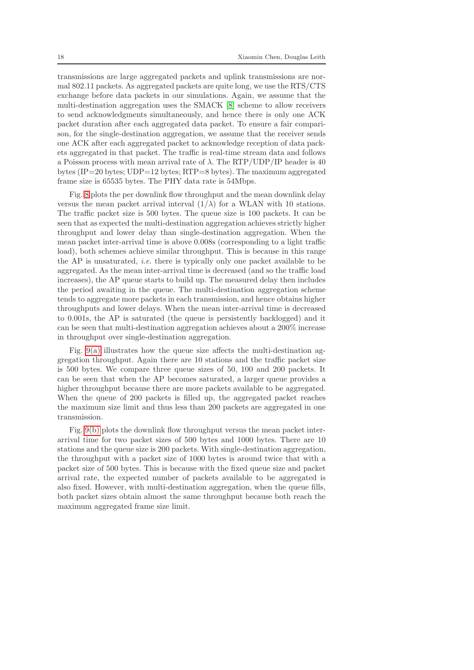transmissions are large aggregated packets and uplink transmissions are normal 802.11 packets. As aggregated packets are quite long, we use the RTS/CTS exchange before data packets in our simulations. Again, we assume that the multi-destination aggregation uses the SMACK [\[8\]](#page-22-16) scheme to allow receivers to send acknowledgments simultaneously, and hence there is only one ACK packet duration after each aggregated data packet. To ensure a fair comparison, for the single-destination aggregation, we assume that the receiver sends one ACK after each aggregated packet to acknowledge reception of data packets aggregated in that packet. The traffic is real-time stream data and follows a Poisson process with mean arrival rate of  $\lambda$ . The RTP/UDP/IP header is 40 bytes (IP=20 bytes; UDP=12 bytes; RTP=8 bytes). The maximum aggregated frame size is 65535 bytes. The PHY data rate is 54Mbps.

Fig. [8](#page-18-0) plots the per downlink flow throughput and the mean downlink delay versus the mean packet arrival interval  $(1/\lambda)$  for a WLAN with 10 stations. The traffic packet size is 500 bytes. The queue size is 100 packets. It can be seen that as expected the multi-destination aggregation achieves strictly higher throughput and lower delay than single-destination aggregation. When the mean packet inter-arrival time is above 0.008s (corresponding to a light traffic load), both schemes achieve similar throughput. This is because in this range the AP is unsaturated, i.e. there is typically only one packet available to be aggregated. As the mean inter-arrival time is decreased (and so the traffic load increases), the AP queue starts to build up. The measured delay then includes the period awaiting in the queue. The multi-destination aggregation scheme tends to aggregate more packets in each transmission, and hence obtains higher throughputs and lower delays. When the mean inter-arrival time is decreased to 0.001s, the AP is saturated (the queue is persistently backlogged) and it can be seen that multi-destination aggregation achieves about a 200% increase in throughput over single-destination aggregation.

Fig.  $9(a)$  illustrates how the queue size affects the multi-destination aggregation throughput. Again there are 10 stations and the traffic packet size is 500 bytes. We compare three queue sizes of 50, 100 and 200 packets. It can be seen that when the AP becomes saturated, a larger queue provides a higher throughput because there are more packets available to be aggregated. When the queue of 200 packets is filled up, the aggregated packet reaches the maximum size limit and thus less than 200 packets are aggregated in one transmission.

Fig. [9\(b\)](#page-18-2) plots the downlink flow throughput versus the mean packet interarrival time for two packet sizes of 500 bytes and 1000 bytes. There are 10 stations and the queue size is 200 packets. With single-destination aggregation, the throughput with a packet size of 1000 bytes is around twice that with a packet size of 500 bytes. This is because with the fixed queue size and packet arrival rate, the expected number of packets available to be aggregated is also fixed. However, with multi-destination aggregation, when the queue fills, both packet sizes obtain almost the same throughput because both reach the maximum aggregated frame size limit.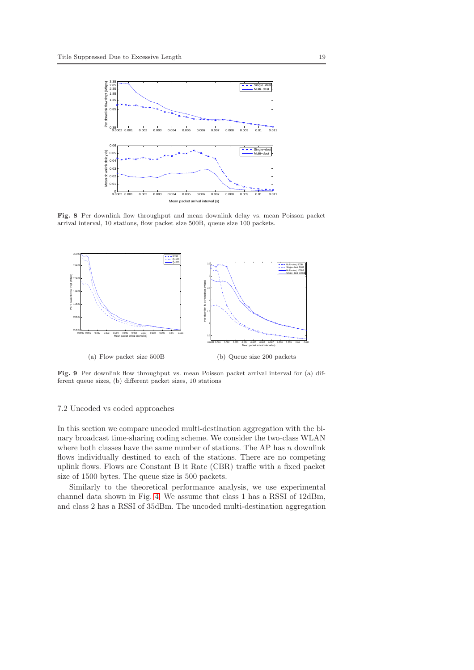

<span id="page-18-0"></span>Fig. 8 Per downlink flow throughput and mean downlink delay vs. mean Poisson packet arrival interval, 10 stations, flow packet size 500B, queue size 100 packets.

<span id="page-18-1"></span>

<span id="page-18-2"></span>Fig. 9 Per downlink flow throughput vs. mean Poisson packet arrival interval for (a) different queue sizes, (b) different packet sizes, 10 stations

#### 7.2 Uncoded vs coded approaches

In this section we compare uncoded multi-destination aggregation with the binary broadcast time-sharing coding scheme. We consider the two-class WLAN where both classes have the same number of stations. The AP has  $n$  downlink flows individually destined to each of the stations. There are no competing uplink flows. Flows are Constant B it Rate (CBR) traffic with a fixed packet size of 1500 bytes. The queue size is 500 packets.

Similarly to the theoretical performance analysis, we use experimental channel data shown in Fig. [4.](#page-13-0) We assume that class 1 has a RSSI of 12dBm, and class 2 has a RSSI of 35dBm. The uncoded multi-destination aggregation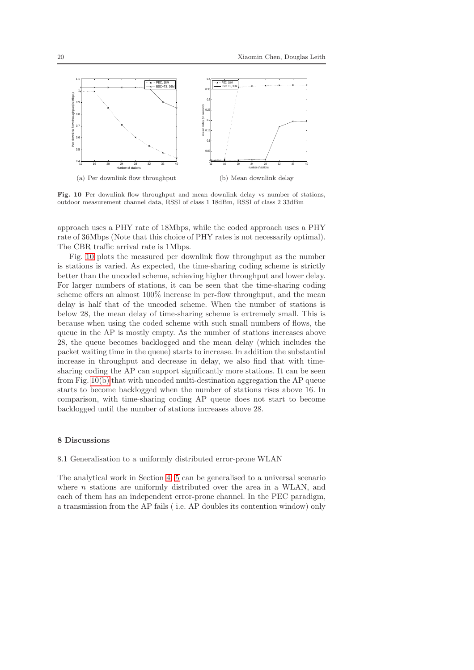

<span id="page-19-1"></span><span id="page-19-0"></span>Fig. 10 Per downlink flow throughput and mean downlink delay vs number of stations, outdoor measurement channel data, RSSI of class 1 18dBm, RSSI of class 2 33dBm

approach uses a PHY rate of 18Mbps, while the coded approach uses a PHY rate of 36Mbps (Note that this choice of PHY rates is not necessarily optimal). The CBR traffic arrival rate is 1Mbps.

Fig. [10](#page-19-0) plots the measured per downlink flow throughput as the number is stations is varied. As expected, the time-sharing coding scheme is strictly better than the uncoded scheme, achieving higher throughput and lower delay. For larger numbers of stations, it can be seen that the time-sharing coding scheme offers an almost 100% increase in per-flow throughput, and the mean delay is half that of the uncoded scheme. When the number of stations is below 28, the mean delay of time-sharing scheme is extremely small. This is because when using the coded scheme with such small numbers of flows, the queue in the AP is mostly empty. As the number of stations increases above 28, the queue becomes backlogged and the mean delay (which includes the packet waiting time in the queue) starts to increase. In addition the substantial increase in throughput and decrease in delay, we also find that with timesharing coding the AP can support significantly more stations. It can be seen from Fig. [10\(b\)](#page-19-1) that with uncoded multi-destination aggregation the AP queue starts to become backlogged when the number of stations rises above 16. In comparison, with time-sharing coding AP queue does not start to become backlogged until the number of stations increases above 28.

# 8 Discussions

8.1 Generalisation to a uniformly distributed error-prone WLAN

The analytical work in Section [4,](#page-6-0) [5](#page-12-2) can be generalised to a universal scenario where *n* stations are uniformly distributed over the area in a WLAN, and each of them has an independent error-prone channel. In the PEC paradigm, a transmission from the AP fails ( i.e. AP doubles its contention window) only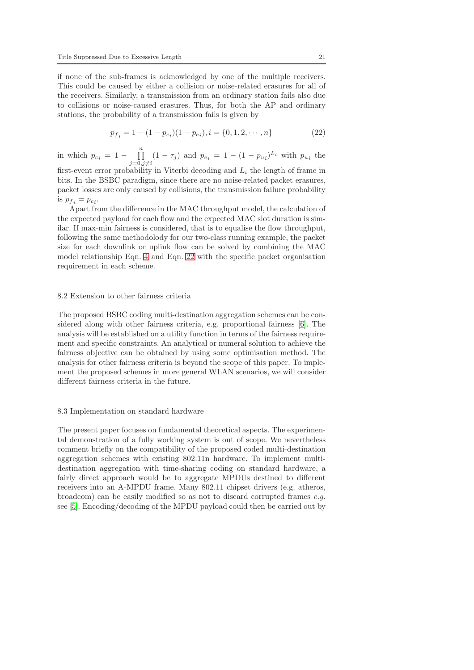if none of the sub-frames is acknowledged by one of the multiple receivers. This could be caused by either a collision or noise-related erasures for all of the receivers. Similarly, a transmission from an ordinary station fails also due to collisions or noise-caused erasures. Thus, for both the AP and ordinary stations, the probability of a transmission fails is given by

<span id="page-20-0"></span>
$$
p_{f_i} = 1 - (1 - p_{c_i})(1 - p_{e_i}), i = \{0, 1, 2, \cdots, n\}
$$
 (22)

in which  $p_{ci} = 1 - \prod_{i=1}^{n}$  $\prod_{j=0,j\neq i}(1-\tau_j)$  and  $p_{e_i}=1-(1-p_{u_i})^{L_i}$  with  $p_{u_i}$  the first-event error probability in Viterbi decoding and  $L_i$  the length of frame in bits. In the BSBC paradigm, since there are no noise-related packet erasures,

packet losses are only caused by collisions, the transmission failure probability is  $p_{f_i} = p_{c_i}$ .

Apart from the difference in the MAC throughput model, the calculation of the expected payload for each flow and the expected MAC slot duration is similar. If max-min fairness is considered, that is to equalise the flow throughput, following the same methodolody for our two-class running example, the packet size for each downlink or uplink flow can be solved by combining the MAC model relationship Eqn. [4](#page-7-0) and Eqn. [22](#page-20-0) with the specific packet organisation requirement in each scheme.

#### 8.2 Extension to other fairness criteria

The proposed BSBC coding multi-destination aggregation schemes can be considered along with other fairness criteria, e.g. proportional fairness [\[6\]](#page-21-5). The analysis will be established on a utility function in terms of the fairness requirement and specific constraints. An analytical or numeral solution to achieve the fairness objective can be obtained by using some optimisation method. The analysis for other fairness criteria is beyond the scope of this paper. To implement the proposed schemes in more general WLAN scenarios, we will consider different fairness criteria in the future.

#### 8.3 Implementation on standard hardware

The present paper focuses on fundamental theoretical aspects. The experimental demonstration of a fully working system is out of scope. We nevertheless comment briefly on the compatibility of the proposed coded multi-destination aggregation schemes with existing 802.11n hardware. To implement multidestination aggregation with time-sharing coding on standard hardware, a fairly direct approach would be to aggregate MPDUs destined to different receivers into an A-MPDU frame. Many 802.11 chipset drivers (e.g. atheros, broadcom) can be easily modified so as not to discard corrupted frames e.g. see [\[5\]](#page-21-0). Encoding/decoding of the MPDU payload could then be carried out by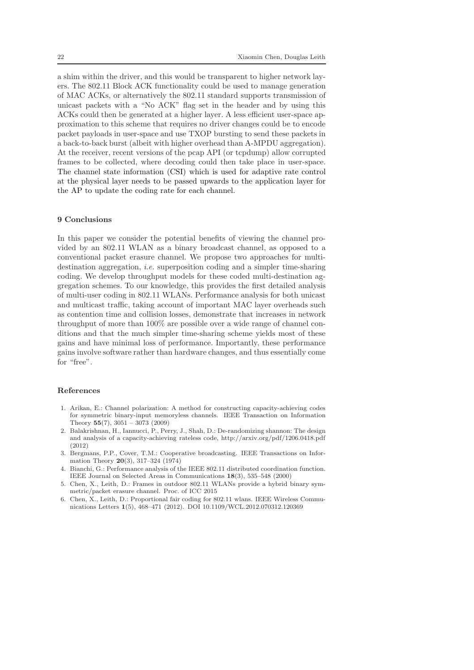a shim within the driver, and this would be transparent to higher network layers. The 802.11 Block ACK functionality could be used to manage generation of MAC ACKs, or alternatively the 802.11 standard supports transmission of unicast packets with a "No ACK" flag set in the header and by using this ACKs could then be generated at a higher layer. A less efficient user-space approximation to this scheme that requires no driver changes could be to encode packet payloads in user-space and use TXOP bursting to send these packets in a back-to-back burst (albeit with higher overhead than A-MPDU aggregation). At the receiver, recent versions of the pcap API (or tcpdump) allow corrupted frames to be collected, where decoding could then take place in user-space. The channel state information (CSI) which is used for adaptive rate control at the physical layer needs to be passed upwards to the application layer for the AP to update the coding rate for each channel.

#### 9 Conclusions

In this paper we consider the potential benefits of viewing the channel provided by an 802.11 WLAN as a binary broadcast channel, as opposed to a conventional packet erasure channel. We propose two approaches for multidestination aggregation, *i.e.* superposition coding and a simpler time-sharing coding. We develop throughput models for these coded multi-destination aggregation schemes. To our knowledge, this provides the first detailed analysis of multi-user coding in 802.11 WLANs. Performance analysis for both unicast and multicast traffic, taking account of important MAC layer overheads such as contention time and collision losses, demonstrate that increases in network throughput of more than 100% are possible over a wide range of channel conditions and that the much simpler time-sharing scheme yields most of these gains and have minimal loss of performance. Importantly, these performance gains involve software rather than hardware changes, and thus essentially come for "free".

## References

- <span id="page-21-2"></span>1. Arikan, E.: Channel polarization: A method for constructing capacity-achieving codes for symmetric binary-input memoryless channels. IEEE Transaction on Information Theory  $55(7)$ ,  $3051 - 3073$  (2009)
- <span id="page-21-3"></span>2. Balakrishnan, H., Iannucci, P., Perry, J., Shah, D.: De-randomizing shannon: The design and analysis of a capacity-achieving rateless code, http://arxiv.org/pdf/1206.0418.pdf (2012)
- <span id="page-21-1"></span>3. Bergmans, P.P., Cover, T.M.: Cooperative broadcasting. IEEE Transactions on Information Theory 20(3), 317–324 (1974)
- <span id="page-21-4"></span>4. Bianchi, G.: Performance analysis of the IEEE 802.11 distributed coordination function. IEEE Journal on Selected Areas in Communications 18(3), 535–548 (2000)
- <span id="page-21-0"></span>5. Chen, X., Leith, D.: Frames in outdoor 802.11 WLANs provide a hybrid binary symmetric/packet erasure channel. Proc. of ICC 2015
- <span id="page-21-5"></span>6. Chen, X., Leith, D.: Proportional fair coding for 802.11 wlans. IEEE Wireless Communications Letters 1(5), 468–471 (2012). DOI 10.1109/WCL.2012.070312.120369